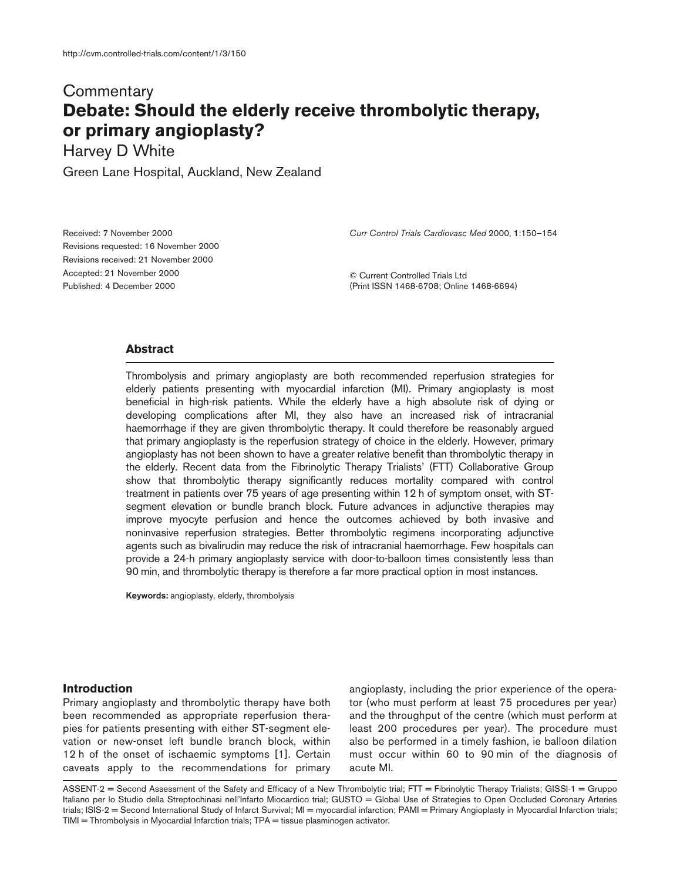# **Commentary Debate: Should the elderly receive thrombolytic therapy, or primary angioplasty?**

Harvey D White

Green Lane Hospital, Auckland, New Zealand

Received: 7 November 2000 Revisions requested: 16 November 2000 Revisions received: 21 November 2000 Accepted: 21 November 2000 Published: 4 December 2000

*Curr Control Trials Cardiovasc Med* 2000, **1**:150–154

© Current Controlled Trials Ltd (Print ISSN 1468-6708; Online 1468-6694)

#### **Abstract**

Thrombolysis and primary angioplasty are both recommended reperfusion strategies for elderly patients presenting with myocardial infarction (MI). Primary angioplasty is most beneficial in high-risk patients. While the elderly have a high absolute risk of dying or developing complications after MI, they also have an increased risk of intracranial haemorrhage if they are given thrombolytic therapy. It could therefore be reasonably argued that primary angioplasty is the reperfusion strategy of choice in the elderly. However, primary angioplasty has not been shown to have a greater relative benefit than thrombolytic therapy in the elderly. Recent data from the Fibrinolytic Therapy Trialists' (FTT) Collaborative Group show that thrombolytic therapy significantly reduces mortality compared with control treatment in patients over 75 years of age presenting within 12 h of symptom onset, with STsegment elevation or bundle branch block. Future advances in adjunctive therapies may improve myocyte perfusion and hence the outcomes achieved by both invasive and noninvasive reperfusion strategies. Better thrombolytic regimens incorporating adjunctive agents such as bivalirudin may reduce the risk of intracranial haemorrhage. Few hospitals can provide a 24-h primary angioplasty service with door-to-balloon times consistently less than 90 min, and thrombolytic therapy is therefore a far more practical option in most instances.

**Keywords:** angioplasty, elderly, thrombolysis

## **Introduction**

Primary angioplasty and thrombolytic therapy have both been recommended as appropriate reperfusion therapies for patients presenting with either ST-segment elevation or new-onset left bundle branch block, within 12 h of the onset of ischaemic symptoms [1]. Certain caveats apply to the recommendations for primary angioplasty, including the prior experience of the operator (who must perform at least 75 procedures per year) and the throughput of the centre (which must perform at least 200 procedures per year). The procedure must also be performed in a timely fashion, ie balloon dilation must occur within 60 to 90 min of the diagnosis of acute MI.

ASSENT-2 = Second Assessment of the Safety and Efficacy of a New Thrombolytic trial; FTT = Fibrinolytic Therapy Trialists; GISSI-1 = Gruppo Italiano per lo Studio della Streptochinasi nell'Infarto Miocardico trial; GUSTO = Global Use of Strategies to Open Occluded Coronary Arteries trials; ISIS-2 = Second International Study of Infarct Survival; MI = myocardial infarction; PAMI = Primary Angioplasty in Myocardial Infarction trials; TIMI = Thrombolysis in Myocardial Infarction trials; TPA = tissue plasminogen activator.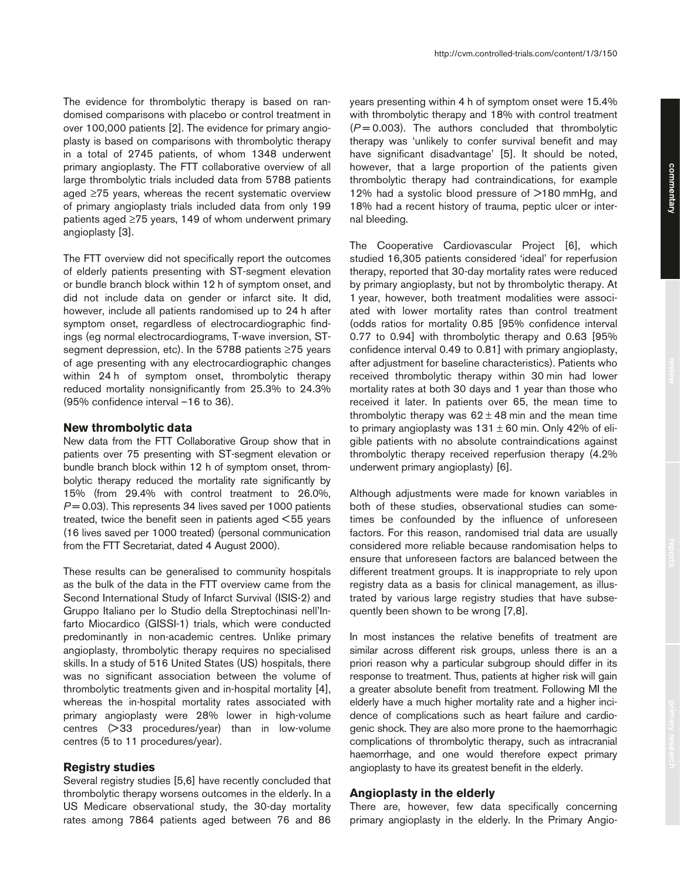commentary **commentary**

The evidence for thrombolytic therapy is based on randomised comparisons with placebo or control treatment in over 100,000 patients [2]. The evidence for primary angioplasty is based on comparisons with thrombolytic therapy in a total of 2745 patients, of whom 1348 underwent primary angioplasty. The FTT collaborative overview of all large thrombolytic trials included data from 5788 patients aged ≥75 years, whereas the recent systematic overview of primary angioplasty trials included data from only 199 patients aged ≥75 years, 149 of whom underwent primary angioplasty [3].

The FTT overview did not specifically report the outcomes of elderly patients presenting with ST-segment elevation or bundle branch block within 12 h of symptom onset, and did not include data on gender or infarct site. It did, however, include all patients randomised up to 24 h after symptom onset, regardless of electrocardiographic findings (eg normal electrocardiograms, T-wave inversion, STsegment depression, etc). In the 5788 patients ≥75 years of age presenting with any electrocardiographic changes within 24 h of symptom onset, thrombolytic therapy reduced mortality nonsignificantly from 25.3% to 24.3% (95% confidence interval –16 to 36).

#### **New thrombolytic data**

New data from the FTT Collaborative Group show that in patients over 75 presenting with ST-segment elevation or bundle branch block within 12 h of symptom onset, thrombolytic therapy reduced the mortality rate significantly by 15% (from 29.4% with control treatment to 26.0%,  $P = 0.03$ ). This represents 34 lives saved per 1000 patients treated, twice the benefit seen in patients aged <55 years (16 lives saved per 1000 treated) (personal communication from the FTT Secretariat, dated 4 August 2000).

These results can be generalised to community hospitals as the bulk of the data in the FTT overview came from the Second International Study of Infarct Survival (ISIS-2) and Gruppo Italiano per lo Studio della Streptochinasi nell'Infarto Miocardico (GISSI-1) trials, which were conducted predominantly in non-academic centres. Unlike primary angioplasty, thrombolytic therapy requires no specialised skills. In a study of 516 United States (US) hospitals, there was no significant association between the volume of thrombolytic treatments given and in-hospital mortality [4], whereas the in-hospital mortality rates associated with primary angioplasty were 28% lower in high-volume centres (> 33 procedures/year) than in low-volume centres (5 to 11 procedures/year).

### **Registry studies**

Several registry studies [5,6] have recently concluded that thrombolytic therapy worsens outcomes in the elderly. In a US Medicare observational study, the 30-day mortality rates among 7864 patients aged between 76 and 86

years presenting within 4 h of symptom onset were 15.4% with thrombolytic therapy and 18% with control treatment (*P* = 0.003). The authors concluded that thrombolytic therapy was 'unlikely to confer survival benefit and may have significant disadvantage' [5]. It should be noted, however, that a large proportion of the patients given thrombolytic therapy had contraindications, for example 12% had a systolic blood pressure of >180 mmHg, and 18% had a recent history of trauma, peptic ulcer or internal bleeding.

The Cooperative Cardiovascular Project [6], which studied 16,305 patients considered 'ideal' for reperfusion therapy, reported that 30-day mortality rates were reduced by primary angioplasty, but not by thrombolytic therapy. At 1 year, however, both treatment modalities were associated with lower mortality rates than control treatment (odds ratios for mortality 0.85 [95% confidence interval 0.77 to 0.94] with thrombolytic therapy and 0.63 [95% confidence interval 0.49 to 0.81] with primary angioplasty, after adjustment for baseline characteristics). Patients who received thrombolytic therapy within 30 min had lower mortality rates at both 30 days and 1 year than those who received it later. In patients over 65, the mean time to thrombolytic therapy was  $62 \pm 48$  min and the mean time to primary angioplasty was  $131 \pm 60$  min. Only 42% of eligible patients with no absolute contraindications against thrombolytic therapy received reperfusion therapy (4.2% underwent primary angioplasty) [6].

Although adjustments were made for known variables in both of these studies, observational studies can sometimes be confounded by the influence of unforeseen factors. For this reason, randomised trial data are usually considered more reliable because randomisation helps to ensure that unforeseen factors are balanced between the different treatment groups. It is inappropriate to rely upon registry data as a basis for clinical management, as illustrated by various large registry studies that have subsequently been shown to be wrong [7,8].

In most instances the relative benefits of treatment are similar across different risk groups, unless there is an a priori reason why a particular subgroup should differ in its response to treatment. Thus, patients at higher risk will gain a greater absolute benefit from treatment. Following MI the elderly have a much higher mortality rate and a higher incidence of complications such as heart failure and cardiogenic shock. They are also more prone to the haemorrhagic complications of thrombolytic therapy, such as intracranial haemorrhage, and one would therefore expect primary angioplasty to have its greatest benefit in the elderly.

## **Angioplasty in the elderly**

There are, however, few data specifically concerning primary angioplasty in the elderly. In the Primary Angio-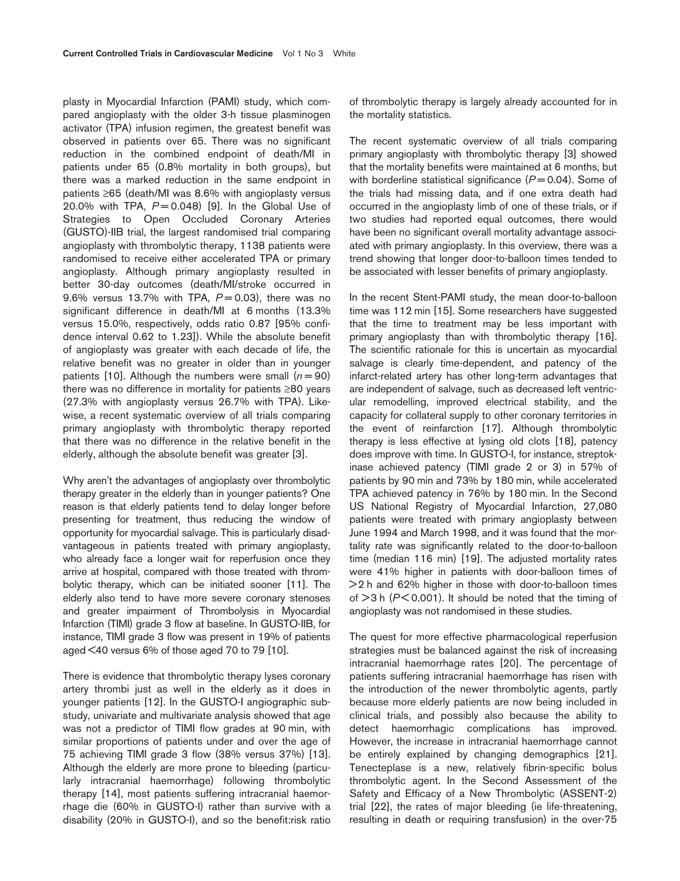plasty in Myocardial Infarction (PAMI) study, which compared angioplasty with the older 3-h tissue plasminogen activator (TPA) infusion regimen, the greatest benefit was observed in patients over 65. There was no significant reduction in the combined endpoint of death/MI in patients under 65 (0.8% mortality in both groups), but there was a marked reduction in the same endpoint in patients ≥65 (death/MI was 8.6% with angioplasty versus 20.0% with TPA, *P* = 0.048) [9]. In the Global Use of Strategies to Open Occluded Coronary Arteries (GUSTO)-IIB trial, the largest randomised trial comparing angioplasty with thrombolytic therapy, 1138 patients were randomised to receive either accelerated TPA or primary angioplasty. Although primary angioplasty resulted in better 30-day outcomes (death/MI/stroke occurred in 9.6% versus 13.7% with TPA,  $P = 0.03$ ), there was no significant difference in death/MI at 6 months (13.3% versus 15.0%, respectively, odds ratio 0.87 [95% confidence interval 0.62 to 1.23]). While the absolute benefit of angioplasty was greater with each decade of life, the relative benefit was no greater in older than in younger patients [10]. Although the numbers were small  $(n = 90)$ there was no difference in mortality for patients ≥80 years (27.3% with angioplasty versus 26.7% with TPA). Likewise, a recent systematic overview of all trials comparing primary angioplasty with thrombolytic therapy reported that there was no difference in the relative benefit in the elderly, although the absolute benefit was greater [3].

Why aren't the advantages of angioplasty over thrombolytic therapy greater in the elderly than in younger patients? One reason is that elderly patients tend to delay longer before presenting for treatment, thus reducing the window of opportunity for myocardial salvage. This is particularly disadvantageous in patients treated with primary angioplasty, who already face a longer wait for reperfusion once they arrive at hospital, compared with those treated with thrombolytic therapy, which can be initiated sooner [11]. The elderly also tend to have more severe coronary stenoses and greater impairment of Thrombolysis in Myocardial Infarction (TIMI) grade 3 flow at baseline. In GUSTO-IIB, for instance, TIMI grade 3 flow was present in 19% of patients aged <40 versus 6% of those aged 70 to 79 [10].

There is evidence that thrombolytic therapy lyses coronary artery thrombi just as well in the elderly as it does in younger patients [12]. In the GUSTO-I angiographic substudy, univariate and multivariate analysis showed that age was not a predictor of TIMI flow grades at 90 min, with similar proportions of patients under and over the age of 75 achieving TIMI grade 3 flow (38% versus 37%) [13]. Although the elderly are more prone to bleeding (particularly intracranial haemorrhage) following thrombolytic therapy [14], most patients suffering intracranial haemorrhage die (60% in GUSTO-I) rather than survive with a disability (20% in GUSTO-I), and so the benefit:risk ratio of thrombolytic therapy is largely already accounted for in the mortality statistics.

The recent systematic overview of all trials comparing primary angioplasty with thrombolytic therapy [3] showed that the mortality benefits were maintained at 6 months, but with borderline statistical significance ( $P = 0.04$ ). Some of the trials had missing data, and if one extra death had occurred in the angioplasty limb of one of these trials, or if two studies had reported equal outcomes, there would have been no significant overall mortality advantage associated with primary angioplasty. In this overview, there was a trend showing that longer door-to-balloon times tended to be associated with lesser benefits of primary angioplasty.

In the recent Stent-PAMI study, the mean door-to-balloon time was 112 min [15]. Some researchers have suggested that the time to treatment may be less important with primary angioplasty than with thrombolytic therapy [16]. The scientific rationale for this is uncertain as myocardial salvage is clearly time-dependent, and patency of the infarct-related artery has other long-term advantages that are independent of salvage, such as decreased left ventricular remodelling, improved electrical stability, and the capacity for collateral supply to other coronary territories in the event of reinfarction [17]. Although thrombolytic therapy is less effective at lysing old clots [18], patency does improve with time. In GUSTO-I, for instance, streptokinase achieved patency (TIMI grade 2 or 3) in 57% of patients by 90 min and 73% by 180 min, while accelerated TPA achieved patency in 76% by 180 min. In the Second US National Registry of Myocardial Infarction, 27,080 patients were treated with primary angioplasty between June 1994 and March 1998, and it was found that the mortality rate was significantly related to the door-to-balloon time (median 116 min) [19]. The adjusted mortality rates were 41% higher in patients with door-balloon times of >2 h and 62% higher in those with door-to-balloon times of  $>3$  h ( $P < 0.001$ ). It should be noted that the timing of angioplasty was not randomised in these studies.

The quest for more effective pharmacological reperfusion strategies must be balanced against the risk of increasing intracranial haemorrhage rates [20]. The percentage of patients suffering intracranial haemorrhage has risen with the introduction of the newer thrombolytic agents, partly because more elderly patients are now being included in clinical trials, and possibly also because the ability to detect haemorrhagic complications has improved. However, the increase in intracranial haemorrhage cannot be entirely explained by changing demographics [21]. Tenecteplase is a new, relatively fibrin-specific bolus thrombolytic agent. In the Second Assessment of the Safety and Efficacy of a New Thrombolytic (ASSENT-2) trial [22], the rates of major bleeding (ie life-threatening, resulting in death or requiring transfusion) in the over-75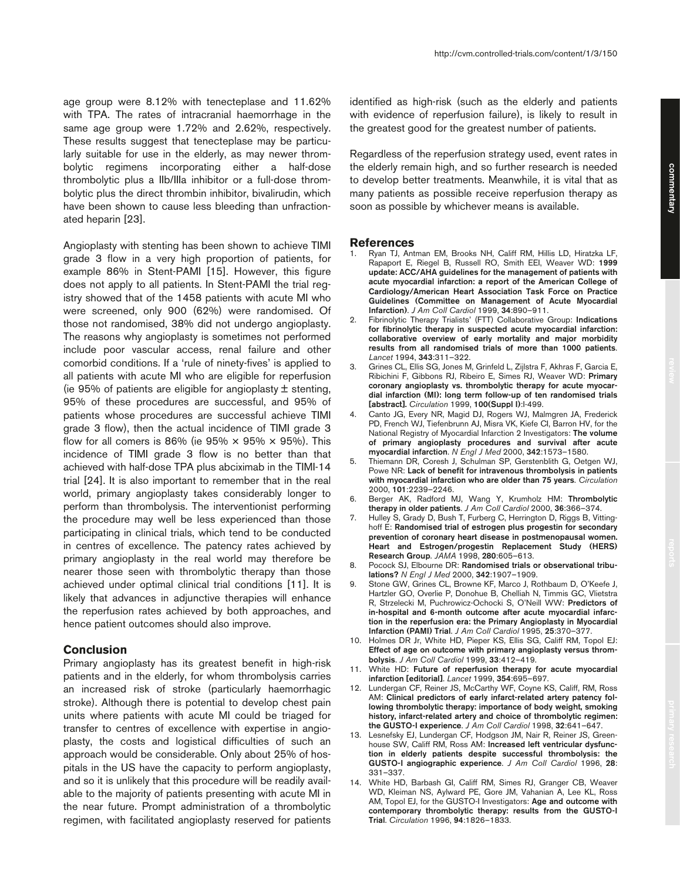age group were 8.12% with tenecteplase and 11.62% with TPA. The rates of intracranial haemorrhage in the same age group were 1.72% and 2.62%, respectively. These results suggest that tenecteplase may be particularly suitable for use in the elderly, as may newer thrombolytic regimens incorporating either a half-dose thrombolytic plus a IIb/IIIa inhibitor or a full-dose thrombolytic plus the direct thrombin inhibitor, bivalirudin, which have been shown to cause less bleeding than unfractionated heparin [23].

Angioplasty with stenting has been shown to achieve TIMI grade 3 flow in a very high proportion of patients, for example 86% in Stent-PAMI [15]. However, this figure does not apply to all patients. In Stent-PAMI the trial registry showed that of the 1458 patients with acute MI who were screened, only 900 (62%) were randomised. Of those not randomised, 38% did not undergo angioplasty. The reasons why angioplasty is sometimes not performed include poor vascular access, renal failure and other comorbid conditions. If a 'rule of ninety-fives' is applied to all patients with acute MI who are eligible for reperfusion (ie 95% of patients are eligible for angioplasty  $\pm$  stenting, 95% of these procedures are successful, and 95% of patients whose procedures are successful achieve TIMI grade 3 flow), then the actual incidence of TIMI grade 3 flow for all comers is 86% (ie 95%  $\times$  95%  $\times$  95%). This incidence of TIMI grade 3 flow is no better than that achieved with half-dose TPA plus abciximab in the TIMI-14 trial [24]. It is also important to remember that in the real world, primary angioplasty takes considerably longer to perform than thrombolysis. The interventionist performing the procedure may well be less experienced than those participating in clinical trials, which tend to be conducted in centres of excellence. The patency rates achieved by primary angioplasty in the real world may therefore be nearer those seen with thrombolytic therapy than those achieved under optimal clinical trial conditions [11]. It is likely that advances in adjunctive therapies will enhance the reperfusion rates achieved by both approaches, and hence patient outcomes should also improve.

# **Conclusion**

Primary angioplasty has its greatest benefit in high-risk patients and in the elderly, for whom thrombolysis carries an increased risk of stroke (particularly haemorrhagic stroke). Although there is potential to develop chest pain units where patients with acute MI could be triaged for transfer to centres of excellence with expertise in angioplasty, the costs and logistical difficulties of such an approach would be considerable. Only about 25% of hospitals in the US have the capacity to perform angioplasty, and so it is unlikely that this procedure will be readily available to the majority of patients presenting with acute MI in the near future. Prompt administration of a thrombolytic regimen, with facilitated angioplasty reserved for patients

identified as high-risk (such as the elderly and patients with evidence of reperfusion failure), is likely to result in the greatest good for the greatest number of patients.

Regardless of the reperfusion strategy used, event rates in the elderly remain high, and so further research is needed to develop better treatments. Meanwhile, it is vital that as many patients as possible receive reperfusion therapy as soon as possible by whichever means is available.

#### **References**

- Ryan TJ, Antman EM, Brooks NH, Califf RM, Hillis LD, Hiratzka LF, Rapaport E, Riegel B, Russell RO, Smith EEI, Weaver WD: **1999 update: ACC/AHA guidelines for the management of patients with acute myocardial infarction: a report of the American College of Cardiology/American Heart Association Task Force on Practice Guidelines (Committee on Management of Acute Myocardial Infarction)**. *J Am Coll Cardiol* 1999, **34**:890–911.
- 2. Fibrinolytic Therapy Trialists' (FTT) Collaborative Group: **Indications for fibrinolytic therapy in suspected acute myocardial infarction: collaborative overview of early mortality and major morbidity results from all randomised trials of more than 1000 patients**. *Lancet* 1994, **343**:311–322.
- 3. Grines CL, Ellis SG, Jones M, Grinfeld L, Zijlstra F, Akhras F, Garcia E, Ribichini F, Gibbons RJ, Ribeiro E, Simes RJ, Weaver WD: **Primary coronary angioplasty vs. thrombolytic therapy for acute myocardial infarction (MI): long term follow-up of ten randomised trials [abstract].** *Circulation* 1999, **100(Suppl I)**:I-499.
- 4. Canto JG, Every NR, Magid DJ, Rogers WJ, Malmgren JA, Frederick PD, French WJ, Tiefenbrunn AJ, Misra VK, Kiefe CI, Barron HV, for the National Registry of Myocardial Infarction 2 Investigators: **The volume of primary angioplasty procedures and survival after acute myocardial infarction**. *N Engl J Med* 2000, **342**:1573–1580.
- 5. Thiemann DR, Coresh J, Schulman SP, Gerstenblith G, Oetgen WJ, Powe NR: **Lack of benefit for intravenous thrombolysis in patients with myocardial infarction who are older than 75 years**. *Circulation* 2000, **101**:2239–2246.
- 6. Berger AK, Radford MJ, Wang Y, Krumholz HM: **Thrombolytic therapy in older patients**. *J Am Coll Cardiol* 2000, **36**:366–374.
- 7. Hulley S, Grady D, Bush T, Furberg C, Herrington D, Riggs B, Vittinghoff E: **Randomised trial of estrogen plus progestin for secondary prevention of coronary heart disease in postmenopausal women. Heart and Estrogen/progestin Replacement Study (HERS) Research Group**. *JAMA* 1998, **280**:605–613.
- 8. Pocock SJ, Elbourne DR: **Randomised trials or observational tribulations?** *N Engl J Med* 2000, **342**:1907–1909.
- Stone GW, Grines CL, Browne KF, Marco J, Rothbaum D, O'Keefe J, Hartzler GO, Overlie P, Donohue B, Chelliah N, Timmis GC, Vlietstra R, Strzelecki M, Puchrowicz-Ochocki S, O'Neill WW: **Predictors of in-hospital and 6-month outcome after acute myocardial infarction in the reperfusion era: the Primary Angioplasty in Myocardial Infarction (PAMI) Trial**. *J Am Coll Cardiol* 1995, **25**:370–377.
- 10. Holmes DR Jr, White HD, Pieper KS, Ellis SG, Califf RM, Topol EJ: **Effect of age on outcome with primary angioplasty versus thrombolysis**. *J Am Coll Cardiol* 1999, **33**:412–419.
- 11. White HD: **Future of reperfusion therapy for acute myocardial infarction [editorial]**. *Lancet* 1999, **354**:695–697.
- 12. Lundergan CF, Reiner JS, McCarthy WF, Coyne KS, Califf, RM, Ross AM: **Clinical predictors of early infarct-related artery patency following thrombolytic therapy: importance of body weight, smoking history, infarct-related artery and choice of thrombolytic regimen: the GUSTO-I experience**. *J Am Coll Cardiol* 1998, **32**:641–647.
- 13. Lesnefsky EJ, Lundergan CF, Hodgson JM, Nair R, Reiner JS, Greenhouse SW, Califf RM, Ross AM: **Increased left ventricular dysfunction in elderly patients despite successful thrombolysis: the GUSTO-I angiographic experience**. *J Am Coll Cardiol* 1996, **28**: 331–337.
- 14. White HD, Barbash GI, Califf RM, Simes RJ, Granger CB, Weaver WD, Kleiman NS, Aylward PE, Gore JM, Vahanian A, Lee KL, Ross AM, Topol EJ, for the GUSTO-I Investigators: **Age and outcome with contemporary thrombolytic therapy: results from the GUSTO-I Trial**. *Circulation* 1996, **94**:1826–1833.